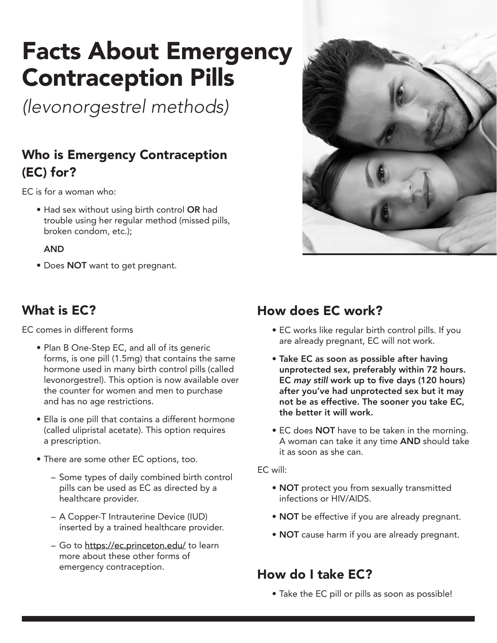# Facts About Emergency Contraception Pills

*(levonorgestrel methods)*

### Who is Emergency Contraception (EC) for?

EC is for a woman who:

• Had sex without using birth control OR had trouble using her regular method (missed pills, broken condom, etc.);

#### AND

• Does NOT want to get pregnant.

### What is EC?

EC comes in different forms

- Plan B One-Step EC, and all of its generic forms, is one pill (1.5mg) that contains the same hormone used in many birth control pills (called levonorgestrel). This option is now available over the counter for women and men to purchase and has no age restrictions.
- Ella is one pill that contains a different hormone (called ulipristal acetate). This option requires a prescription.
- There are some other EC options, too.
	- Some types of daily combined birth control pills can be used as EC as directed by a healthcare provider.
	- A Copper-T Intrauterine Device (IUD) inserted by a trained healthcare provider.
	- Go to <https://ec.princeton.edu/>to learn more about these other forms of emergency contraception.



### How does EC work?

- EC works like regular birth control pills. If you are already pregnant, EC will not work.
- Take EC as soon as possible after having unprotected sex, preferably within 72 hours. EC *may still* work up to five days (120 hours) after you've had unprotected sex but it may not be as effective. The sooner you take EC, the better it will work.
- EC does NOT have to be taken in the morning. A woman can take it any time AND should take it as soon as she can.

#### EC will:

- NOT protect you from sexually transmitted infections or HIV/AIDS.
- **NOT** be effective if you are already pregnant.
- NOT cause harm if you are already pregnant.

### How do I take EC?

• Take the EC pill or pills as soon as possible!